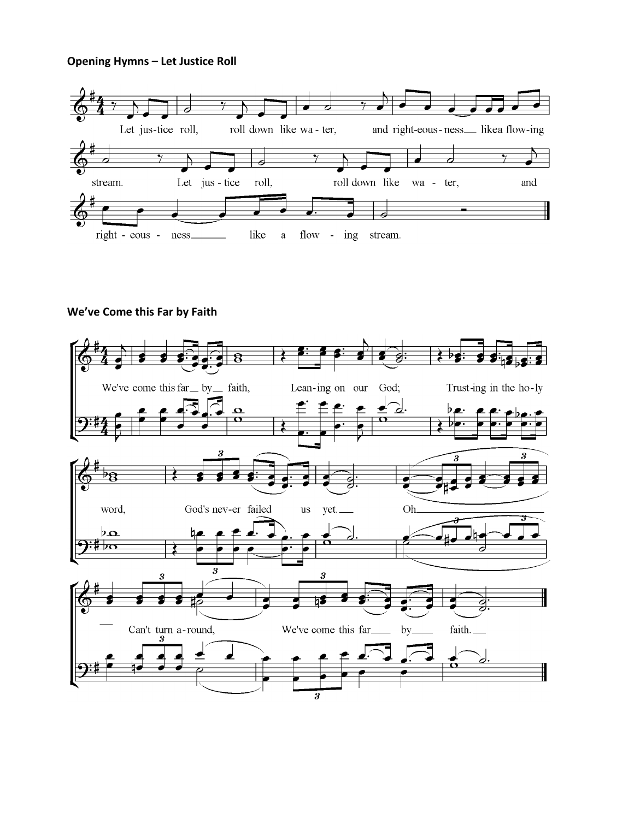### **Opening Hymns – Let Justice Roll**



# **We've Come this Far by Faith**

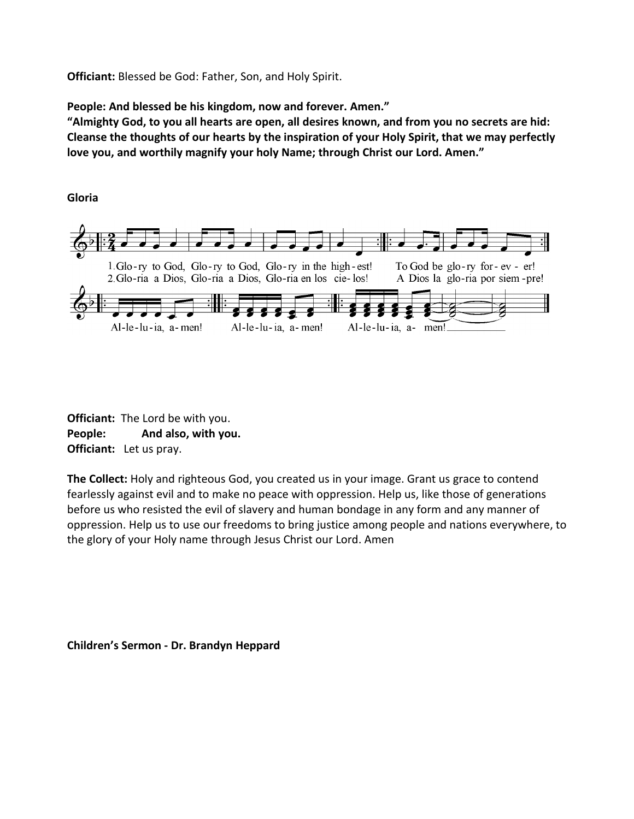**Officiant:** Blessed be God: Father, Son, and Holy Spirit.

**People: And blessed be his kingdom, now and forever. Amen."**

**"Almighty God, to you all hearts are open, all desires known, and from you no secrets are hid: Cleanse the thoughts of our hearts by the inspiration of your Holy Spirit, that we may perfectly love you, and worthily magnify your holy Name; through Christ our Lord. Amen."**

**Gloria**



**Officiant:** The Lord be with you. **People: And also, with you. Officiant:** Let us pray.

**The Collect:** Holy and righteous God, you created us in your image. Grant us grace to contend fearlessly against evil and to make no peace with oppression. Help us, like those of generations before us who resisted the evil of slavery and human bondage in any form and any manner of oppression. Help us to use our freedoms to bring justice among people and nations everywhere, to the glory of your Holy name through Jesus Christ our Lord. Amen

**Children's Sermon - Dr. Brandyn Heppard**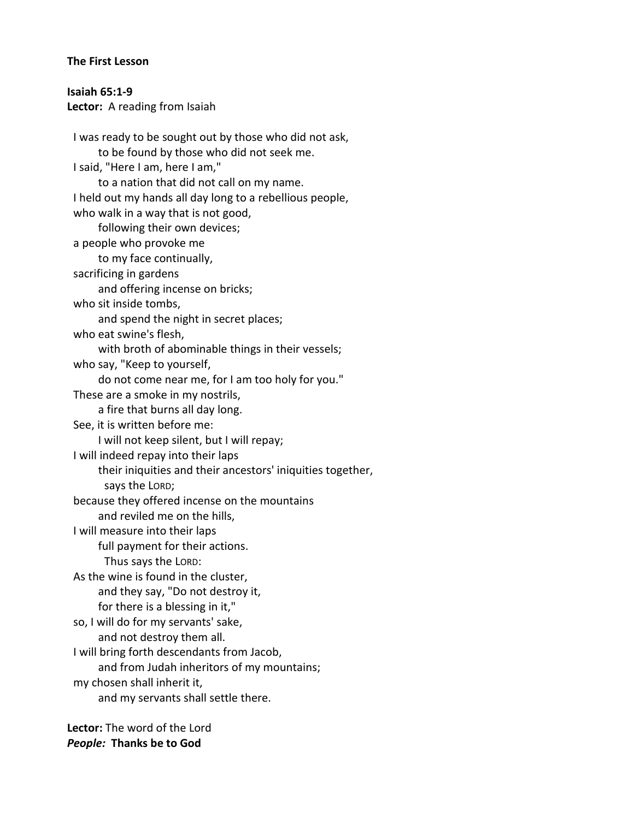#### **The First Lesson**

*People:* **Thanks be to God**

**Isaiah 65:1-9 Lector:** A reading from Isaiah I was ready to be sought out by those who did not ask, to be found by those who did not seek me. I said, "Here I am, here I am," to a nation that did not call on my name. I held out my hands all day long to a rebellious people, who walk in a way that is not good, following their own devices; a people who provoke me to my face continually, sacrificing in gardens and offering incense on bricks; who sit inside tombs, and spend the night in secret places; who eat swine's flesh, with broth of abominable things in their vessels; who say, "Keep to yourself, do not come near me, for I am too holy for you." These are a smoke in my nostrils, a fire that burns all day long. See, it is written before me: I will not keep silent, but I will repay; I will indeed repay into their laps their iniquities and their ancestors' iniquities together, says the LORD; because they offered incense on the mountains and reviled me on the hills, I will measure into their laps full payment for their actions. Thus says the LORD: As the wine is found in the cluster, and they say, "Do not destroy it, for there is a blessing in it," so, I will do for my servants' sake, and not destroy them all. I will bring forth descendants from Jacob, and from Judah inheritors of my mountains; my chosen shall inherit it, and my servants shall settle there. **Lector:** The word of the Lord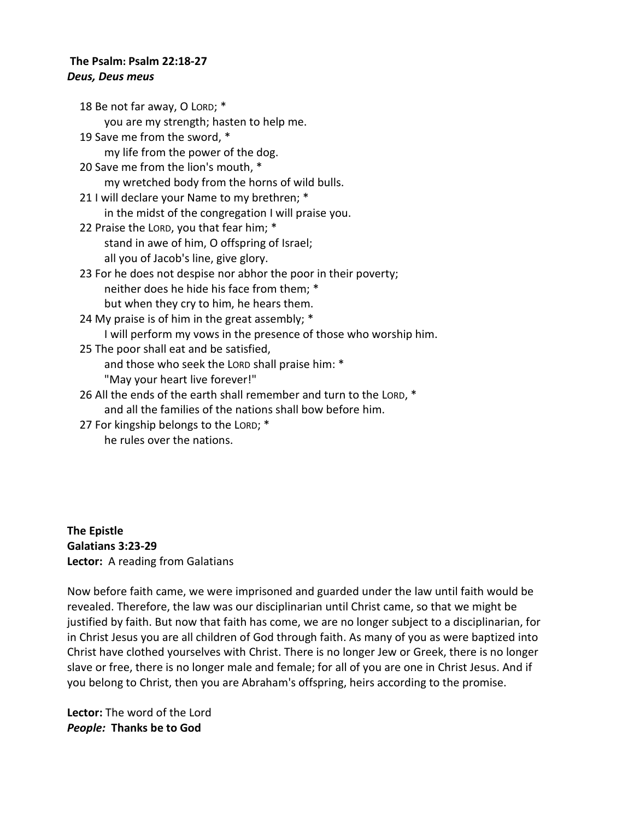#### **The Psalm: Psalm 22:18-27** *Deus, Deus meus*

18 Be not far away, O LORD; \* you are my strength; hasten to help me. 19 Save me from the sword, \* my life from the power of the dog. 20 Save me from the lion's mouth, \* my wretched body from the horns of wild bulls. 21 I will declare your Name to my brethren; \* in the midst of the congregation I will praise you. 22 Praise the LORD, you that fear him; \* stand in awe of him, O offspring of Israel; all you of Jacob's line, give glory. 23 For he does not despise nor abhor the poor in their poverty; neither does he hide his face from them; \* but when they cry to him, he hears them. 24 My praise is of him in the great assembly; \* I will perform my vows in the presence of those who worship him. 25 The poor shall eat and be satisfied, and those who seek the LORD shall praise him: \* "May your heart live forever!" 26 All the ends of the earth shall remember and turn to the LORD, \* and all the families of the nations shall bow before him.

27 For kingship belongs to the LORD; \* he rules over the nations.

**The Epistle Galatians 3:23-29 Lector:** A reading from Galatians

Now before faith came, we were imprisoned and guarded under the law until faith would be revealed. Therefore, the law was our disciplinarian until Christ came, so that we might be justified by faith. But now that faith has come, we are no longer subject to a disciplinarian, for in Christ Jesus you are all children of God through faith. As many of you as were baptized into Christ have clothed yourselves with Christ. There is no longer Jew or Greek, there is no longer slave or free, there is no longer male and female; for all of you are one in Christ Jesus. And if you belong to Christ, then you are Abraham's offspring, heirs according to the promise.

**Lector:** The word of the Lord *People:* **Thanks be to God**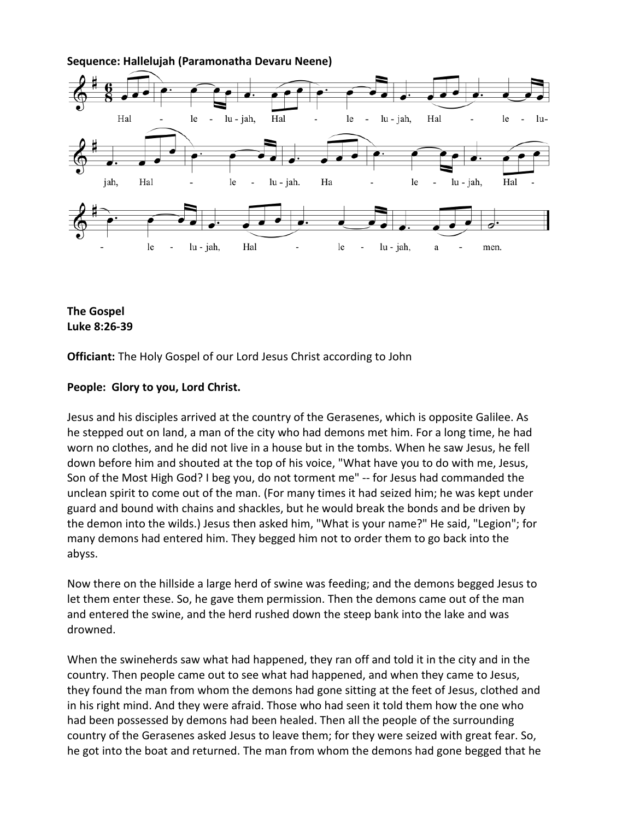

**Sequence: Hallelujah (Paramonatha Devaru Neene)**



**Officiant:** The Holy Gospel of our Lord Jesus Christ according to John

### **People: Glory to you, Lord Christ.**

Jesus and his disciples arrived at the country of the Gerasenes, which is opposite Galilee. As he stepped out on land, a man of the city who had demons met him. For a long time, he had worn no clothes, and he did not live in a house but in the tombs. When he saw Jesus, he fell down before him and shouted at the top of his voice, "What have you to do with me, Jesus, Son of the Most High God? I beg you, do not torment me" -- for Jesus had commanded the unclean spirit to come out of the man. (For many times it had seized him; he was kept under guard and bound with chains and shackles, but he would break the bonds and be driven by the demon into the wilds.) Jesus then asked him, "What is your name?" He said, "Legion"; for many demons had entered him. They begged him not to order them to go back into the abyss.

Now there on the hillside a large herd of swine was feeding; and the demons begged Jesus to let them enter these. So, he gave them permission. Then the demons came out of the man and entered the swine, and the herd rushed down the steep bank into the lake and was drowned.

When the swineherds saw what had happened, they ran off and told it in the city and in the country. Then people came out to see what had happened, and when they came to Jesus, they found the man from whom the demons had gone sitting at the feet of Jesus, clothed and in his right mind. And they were afraid. Those who had seen it told them how the one who had been possessed by demons had been healed. Then all the people of the surrounding country of the Gerasenes asked Jesus to leave them; for they were seized with great fear. So, he got into the boat and returned. The man from whom the demons had gone begged that he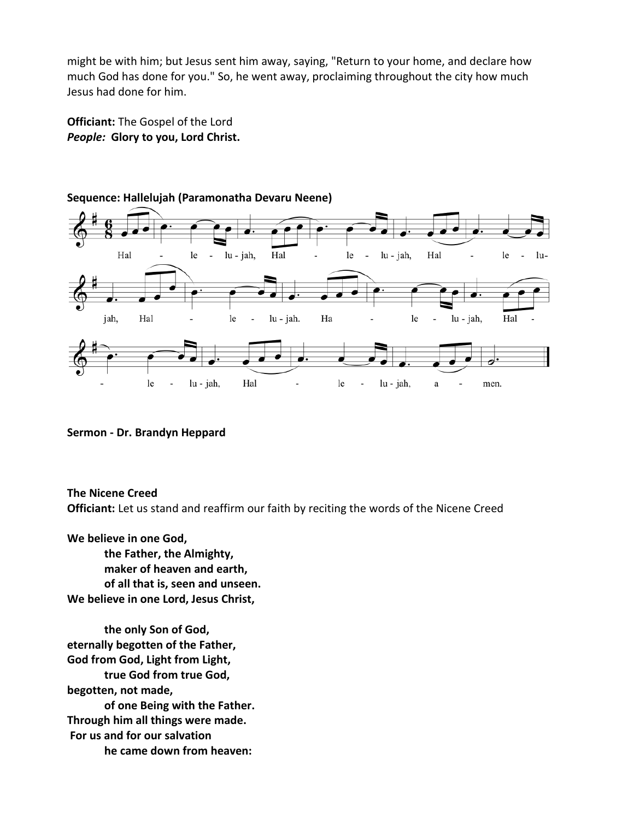might be with him; but Jesus sent him away, saying, "Return to your home, and declare how much God has done for you." So, he went away, proclaiming throughout the city how much Jesus had done for him.

**Officiant:** The Gospel of the Lord *People:* **Glory to you, Lord Christ.**



## **Sequence: Hallelujah (Paramonatha Devaru Neene)**

**Sermon - Dr. Brandyn Heppard**

**The Nicene Creed**

**Officiant:** Let us stand and reaffirm our faith by reciting the words of the Nicene Creed

**We believe in one God, the Father, the Almighty, maker of heaven and earth, of all that is, seen and unseen. We believe in one Lord, Jesus Christ,**

**the only Son of God, eternally begotten of the Father, God from God, Light from Light, true God from true God, begotten, not made, of one Being with the Father. Through him all things were made. For us and for our salvation he came down from heaven:**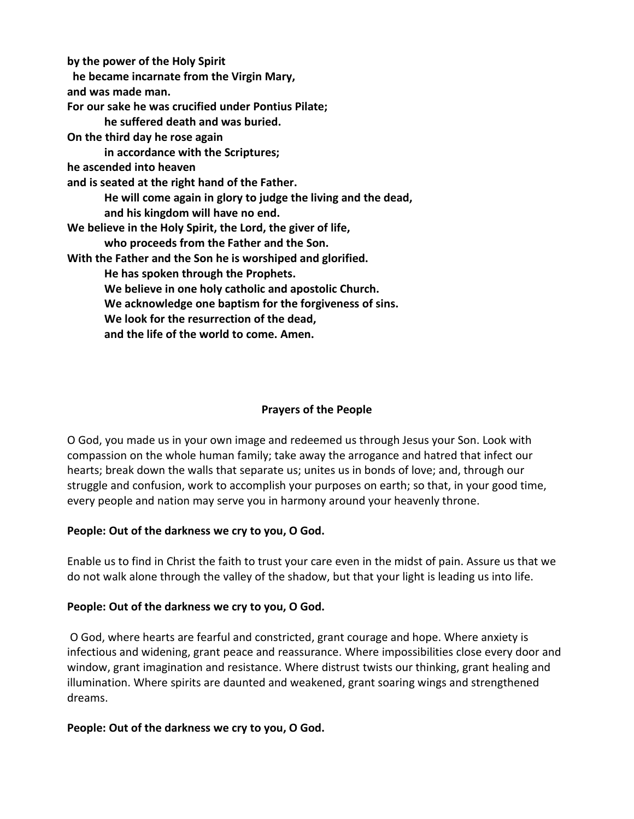**by the power of the Holy Spirit he became incarnate from the Virgin Mary, and was made man. For our sake he was crucified under Pontius Pilate; he suffered death and was buried. On the third day he rose again in accordance with the Scriptures; he ascended into heaven and is seated at the right hand of the Father. He will come again in glory to judge the living and the dead, and his kingdom will have no end. We believe in the Holy Spirit, the Lord, the giver of life, who proceeds from the Father and the Son. With the Father and the Son he is worshiped and glorified. He has spoken through the Prophets. We believe in one holy catholic and apostolic Church. We acknowledge one baptism for the forgiveness of sins. We look for the resurrection of the dead, and the life of the world to come. Amen.**

# **Prayers of the People**

O God, you made us in your own image and redeemed us through Jesus your Son. Look with compassion on the whole human family; take away the arrogance and hatred that infect our hearts; break down the walls that separate us; unites us in bonds of love; and, through our struggle and confusion, work to accomplish your purposes on earth; so that, in your good time, every people and nation may serve you in harmony around your heavenly throne.

# **People: Out of the darkness we cry to you, O God.**

Enable us to find in Christ the faith to trust your care even in the midst of pain. Assure us that we do not walk alone through the valley of the shadow, but that your light is leading us into life.

# **People: Out of the darkness we cry to you, O God.**

O God, where hearts are fearful and constricted, grant courage and hope. Where anxiety is infectious and widening, grant peace and reassurance. Where impossibilities close every door and window, grant imagination and resistance. Where distrust twists our thinking, grant healing and illumination. Where spirits are daunted and weakened, grant soaring wings and strengthened dreams.

# **People: Out of the darkness we cry to you, O God.**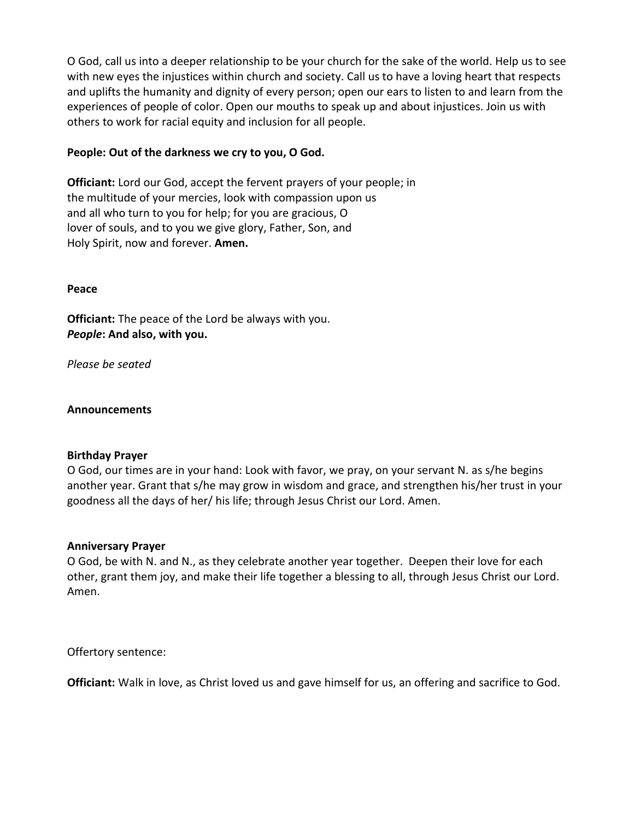O God, call us into a deeper relationship to be your church for the sake of the world. Help us to see with new eyes the injustices within church and society. Call us to have a loving heart that respects and uplifts the humanity and dignity of every person; open our ears to listen to and learn from the experiences of people of color. Open our mouths to speak up and about injustices. Join us with others to work for racial equity and inclusion for all people.

### **People: Out of the darkness we cry to you, O God.**

**Officiant:** Lord our God, accept the fervent prayers of your people; in the multitude of your mercies, look with compassion upon us and all who turn to you for help; for you are gracious, O lover of souls, and to you we give glory, Father, Son, and Holy Spirit, now and forever. **Amen.**

#### **Peace**

**Officiant:** The peace of the Lord be always with you. *People***: And also, with you.**

*Please be seated*

#### **Announcements**

### **Birthday Prayer**

O God, our times are in your hand: Look with favor, we pray, on your servant N. as s/he begins another year. Grant that s/he may grow in wisdom and grace, and strengthen his/her trust in your goodness all the days of her/ his life; through Jesus Christ our Lord. Amen.

#### **Anniversary Prayer**

O God, be with N. and N., as they celebrate another year together. Deepen their love for each other, grant them joy, and make their life together a blessing to all, through Jesus Christ our Lord. Amen.

Offertory sentence:

**Officiant:** Walk in love, as Christ loved us and gave himself for us, an offering and sacrifice to God.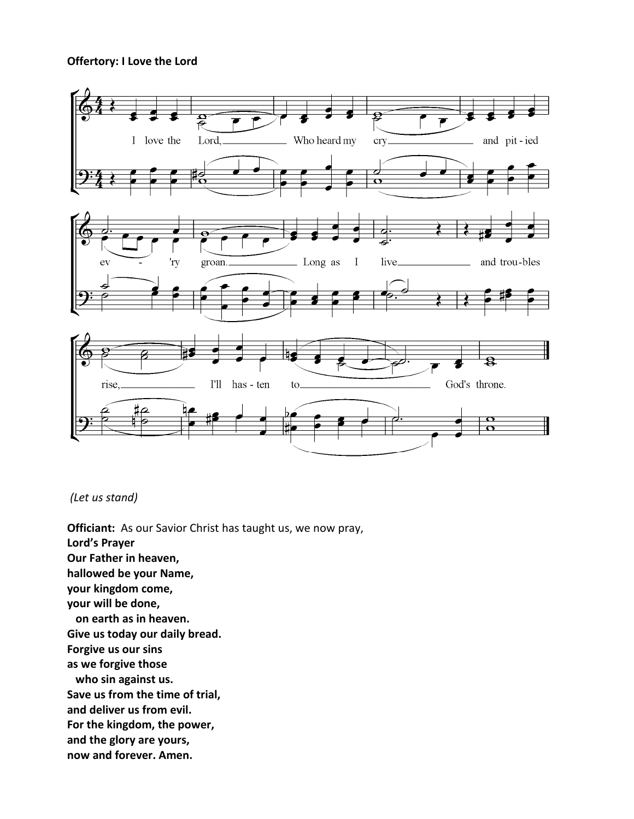#### **Offertory: I Love the Lord**



## *(Let us stand)*

**Officiant:** As our Savior Christ has taught us, we now pray, **Lord's Prayer Our Father in heaven, hallowed be your Name, your kingdom come, your will be done, on earth as in heaven. Give us today our daily bread. Forgive us our sins as we forgive those who sin against us. Save us from the time of trial, and deliver us from evil. For the kingdom, the power, and the glory are yours, now and forever. Amen.**